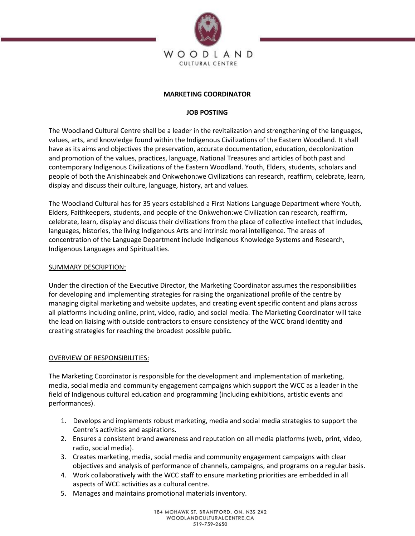

## **MARKETING COORDINATOR**

# **JOB POSTING**

The Woodland Cultural Centre shall be a leader in the revitalization and strengthening of the languages, values, arts, and knowledge found within the Indigenous Civilizations of the Eastern Woodland. It shall have as its aims and objectives the preservation, accurate documentation, education, decolonization and promotion of the values, practices, language, National Treasures and articles of both past and contemporary Indigenous Civilizations of the Eastern Woodland. Youth, Elders, students, scholars and people of both the Anishinaabek and Onkwehon:we Civilizations can research, reaffirm, celebrate, learn, display and discuss their culture, language, history, art and values.

The Woodland Cultural has for 35 years established a First Nations Language Department where Youth, Elders, Faithkeepers, students, and people of the Onkwehon:we Civilization can research, reaffirm, celebrate, learn, display and discuss their civilizations from the place of collective intellect that includes, languages, histories, the living Indigenous Arts and intrinsic moral intelligence. The areas of concentration of the Language Department include Indigenous Knowledge Systems and Research, Indigenous Languages and Spiritualities.

### SUMMARY DESCRIPTION:

Under the direction of the Executive Director, the Marketing Coordinator assumes the responsibilities for developing and implementing strategies for raising the organizational profile of the centre by managing digital marketing and website updates, and creating event specific content and plans across all platforms including online, print, video, radio, and social media. The Marketing Coordinator will take the lead on liaising with outside contractors to ensure consistency of the WCC brand identity and creating strategies for reaching the broadest possible public.

### OVERVIEW OF RESPONSIBILITIES:

The Marketing Coordinator is responsible for the development and implementation of marketing, media, social media and community engagement campaigns which support the WCC as a leader in the field of Indigenous cultural education and programming (including exhibitions, artistic events and performances).

- 1. Develops and implements robust marketing, media and social media strategies to support the Centre's activities and aspirations.
- 2. Ensures a consistent brand awareness and reputation on all media platforms (web, print, video, radio, social media).
- 3. Creates marketing, media, social media and community engagement campaigns with clear objectives and analysis of performance of channels, campaigns, and programs on a regular basis.
- 4. Work collaboratively with the WCC staff to ensure marketing priorities are embedded in all aspects of WCC activities as a cultural centre.
- 5. Manages and maintains promotional materials inventory.